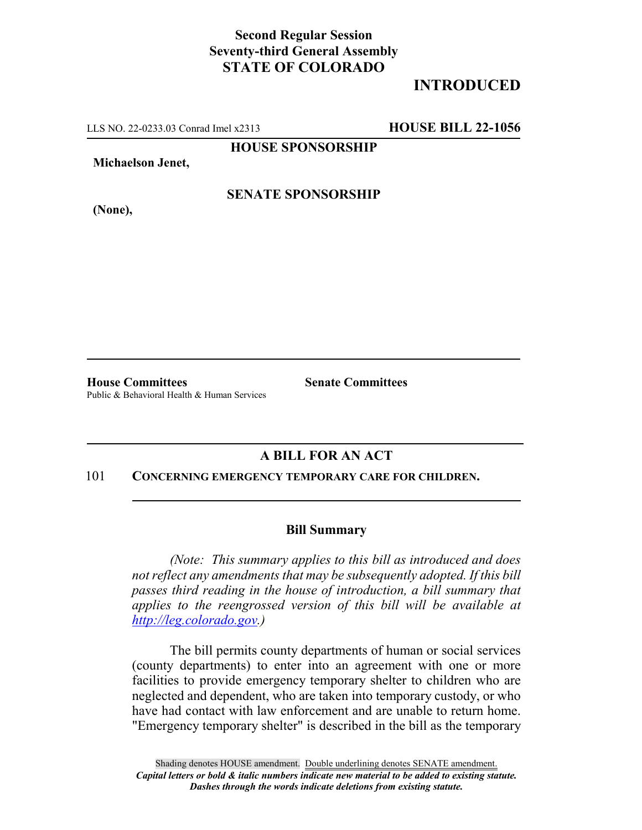## **Second Regular Session Seventy-third General Assembly STATE OF COLORADO**

# **INTRODUCED**

LLS NO. 22-0233.03 Conrad Imel x2313 **HOUSE BILL 22-1056**

**HOUSE SPONSORSHIP**

**Michaelson Jenet,**

**SENATE SPONSORSHIP**

**(None),**

**House Committees Senate Committees** Public & Behavioral Health & Human Services

## **A BILL FOR AN ACT**

#### 101 **CONCERNING EMERGENCY TEMPORARY CARE FOR CHILDREN.**

### **Bill Summary**

*(Note: This summary applies to this bill as introduced and does not reflect any amendments that may be subsequently adopted. If this bill passes third reading in the house of introduction, a bill summary that applies to the reengrossed version of this bill will be available at http://leg.colorado.gov.)*

The bill permits county departments of human or social services (county departments) to enter into an agreement with one or more facilities to provide emergency temporary shelter to children who are neglected and dependent, who are taken into temporary custody, or who have had contact with law enforcement and are unable to return home. "Emergency temporary shelter" is described in the bill as the temporary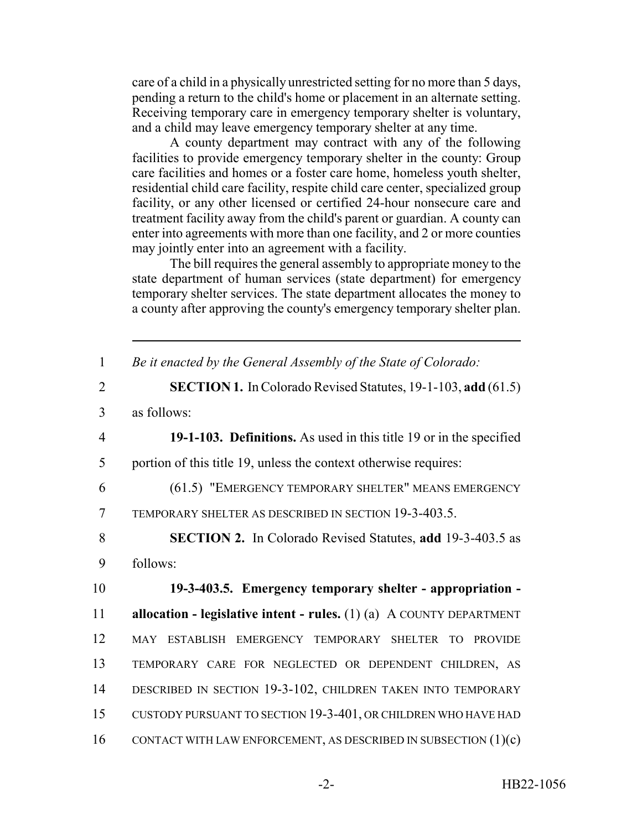care of a child in a physically unrestricted setting for no more than 5 days, pending a return to the child's home or placement in an alternate setting. Receiving temporary care in emergency temporary shelter is voluntary, and a child may leave emergency temporary shelter at any time.

A county department may contract with any of the following facilities to provide emergency temporary shelter in the county: Group care facilities and homes or a foster care home, homeless youth shelter, residential child care facility, respite child care center, specialized group facility, or any other licensed or certified 24-hour nonsecure care and treatment facility away from the child's parent or guardian. A county can enter into agreements with more than one facility, and 2 or more counties may jointly enter into an agreement with a facility.

The bill requires the general assembly to appropriate money to the state department of human services (state department) for emergency temporary shelter services. The state department allocates the money to a county after approving the county's emergency temporary shelter plan.

| $\mathbf{1}$   | Be it enacted by the General Assembly of the State of Colorado:          |
|----------------|--------------------------------------------------------------------------|
| $\overline{2}$ | <b>SECTION 1.</b> In Colorado Revised Statutes, 19-1-103, add (61.5)     |
| 3              | as follows:                                                              |
| $\overline{4}$ | 19-1-103. Definitions. As used in this title 19 or in the specified      |
| 5              | portion of this title 19, unless the context otherwise requires:         |
| 6              | (61.5) "EMERGENCY TEMPORARY SHELTER" MEANS EMERGENCY                     |
| $\overline{7}$ | TEMPORARY SHELTER AS DESCRIBED IN SECTION 19-3-403.5.                    |
| 8              | <b>SECTION 2.</b> In Colorado Revised Statutes, add 19-3-403.5 as        |
| 9              | follows:                                                                 |
| 10             | 19-3-403.5. Emergency temporary shelter - appropriation -                |
| 11             | allocation - legislative intent - rules. $(1)$ $(a)$ A COUNTY DEPARTMENT |
| 12             | MAY ESTABLISH EMERGENCY TEMPORARY SHELTER TO PROVIDE                     |
| 13             | TEMPORARY CARE FOR NEGLECTED OR DEPENDENT CHILDREN, AS                   |
| 14             | DESCRIBED IN SECTION 19-3-102, CHILDREN TAKEN INTO TEMPORARY             |
|                |                                                                          |
| 15             | CUSTODY PURSUANT TO SECTION 19-3-401, OR CHILDREN WHO HAVE HAD           |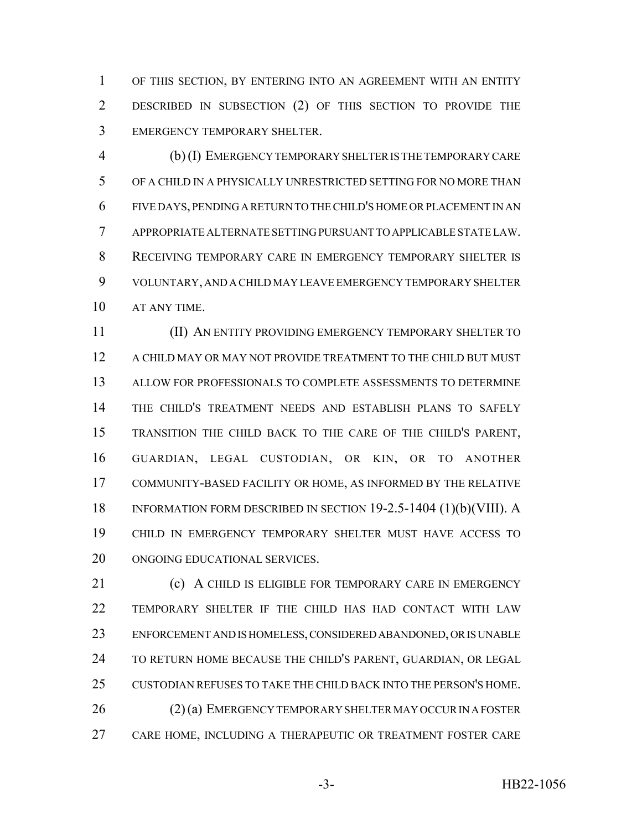OF THIS SECTION, BY ENTERING INTO AN AGREEMENT WITH AN ENTITY DESCRIBED IN SUBSECTION (2) OF THIS SECTION TO PROVIDE THE EMERGENCY TEMPORARY SHELTER.

 (b) (I) EMERGENCY TEMPORARY SHELTER IS THE TEMPORARY CARE OF A CHILD IN A PHYSICALLY UNRESTRICTED SETTING FOR NO MORE THAN FIVE DAYS, PENDING A RETURN TO THE CHILD'S HOME OR PLACEMENT IN AN APPROPRIATE ALTERNATE SETTING PURSUANT TO APPLICABLE STATE LAW. RECEIVING TEMPORARY CARE IN EMERGENCY TEMPORARY SHELTER IS VOLUNTARY, AND A CHILD MAY LEAVE EMERGENCY TEMPORARY SHELTER AT ANY TIME.

 (II) AN ENTITY PROVIDING EMERGENCY TEMPORARY SHELTER TO A CHILD MAY OR MAY NOT PROVIDE TREATMENT TO THE CHILD BUT MUST ALLOW FOR PROFESSIONALS TO COMPLETE ASSESSMENTS TO DETERMINE THE CHILD'S TREATMENT NEEDS AND ESTABLISH PLANS TO SAFELY TRANSITION THE CHILD BACK TO THE CARE OF THE CHILD'S PARENT, GUARDIAN, LEGAL CUSTODIAN, OR KIN, OR TO ANOTHER COMMUNITY-BASED FACILITY OR HOME, AS INFORMED BY THE RELATIVE INFORMATION FORM DESCRIBED IN SECTION 19-2.5-1404 (1)(b)(VIII). A CHILD IN EMERGENCY TEMPORARY SHELTER MUST HAVE ACCESS TO ONGOING EDUCATIONAL SERVICES.

21 (c) A CHILD IS ELIGIBLE FOR TEMPORARY CARE IN EMERGENCY TEMPORARY SHELTER IF THE CHILD HAS HAD CONTACT WITH LAW ENFORCEMENT AND IS HOMELESS, CONSIDERED ABANDONED, OR IS UNABLE 24 TO RETURN HOME BECAUSE THE CHILD'S PARENT, GUARDIAN, OR LEGAL CUSTODIAN REFUSES TO TAKE THE CHILD BACK INTO THE PERSON'S HOME. 26 (2) (a) EMERGENCY TEMPORARY SHELTER MAY OCCUR IN A FOSTER CARE HOME, INCLUDING A THERAPEUTIC OR TREATMENT FOSTER CARE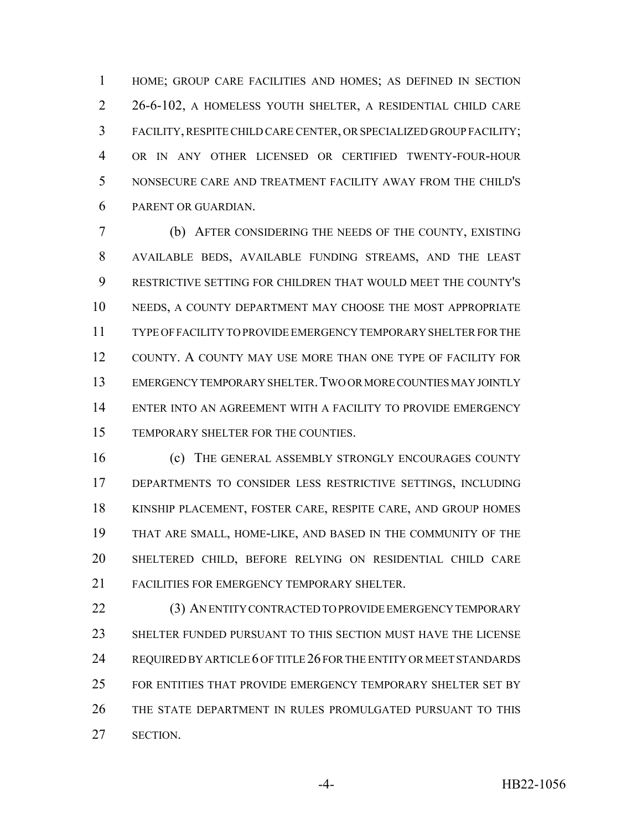HOME; GROUP CARE FACILITIES AND HOMES; AS DEFINED IN SECTION 26-6-102, A HOMELESS YOUTH SHELTER, A RESIDENTIAL CHILD CARE FACILITY, RESPITE CHILD CARE CENTER, OR SPECIALIZED GROUP FACILITY; OR IN ANY OTHER LICENSED OR CERTIFIED TWENTY-FOUR-HOUR NONSECURE CARE AND TREATMENT FACILITY AWAY FROM THE CHILD'S PARENT OR GUARDIAN.

 (b) AFTER CONSIDERING THE NEEDS OF THE COUNTY, EXISTING AVAILABLE BEDS, AVAILABLE FUNDING STREAMS, AND THE LEAST RESTRICTIVE SETTING FOR CHILDREN THAT WOULD MEET THE COUNTY'S NEEDS, A COUNTY DEPARTMENT MAY CHOOSE THE MOST APPROPRIATE TYPE OF FACILITY TO PROVIDE EMERGENCY TEMPORARY SHELTER FOR THE COUNTY. A COUNTY MAY USE MORE THAN ONE TYPE OF FACILITY FOR EMERGENCY TEMPORARY SHELTER.TWO OR MORE COUNTIES MAY JOINTLY ENTER INTO AN AGREEMENT WITH A FACILITY TO PROVIDE EMERGENCY TEMPORARY SHELTER FOR THE COUNTIES.

16 (c) THE GENERAL ASSEMBLY STRONGLY ENCOURAGES COUNTY DEPARTMENTS TO CONSIDER LESS RESTRICTIVE SETTINGS, INCLUDING KINSHIP PLACEMENT, FOSTER CARE, RESPITE CARE, AND GROUP HOMES THAT ARE SMALL, HOME-LIKE, AND BASED IN THE COMMUNITY OF THE SHELTERED CHILD, BEFORE RELYING ON RESIDENTIAL CHILD CARE FACILITIES FOR EMERGENCY TEMPORARY SHELTER.

 (3) AN ENTITY CONTRACTED TO PROVIDE EMERGENCY TEMPORARY SHELTER FUNDED PURSUANT TO THIS SECTION MUST HAVE THE LICENSE 24 REQUIRED BY ARTICLE 6 OF TITLE 26 FOR THE ENTITY OR MEET STANDARDS FOR ENTITIES THAT PROVIDE EMERGENCY TEMPORARY SHELTER SET BY THE STATE DEPARTMENT IN RULES PROMULGATED PURSUANT TO THIS SECTION.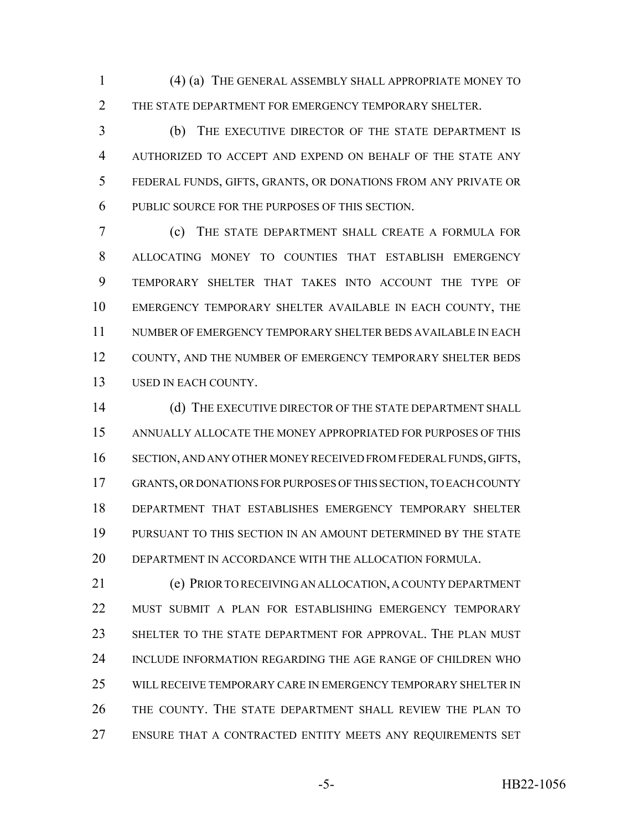(4) (a) THE GENERAL ASSEMBLY SHALL APPROPRIATE MONEY TO 2 THE STATE DEPARTMENT FOR EMERGENCY TEMPORARY SHELTER.

 (b) THE EXECUTIVE DIRECTOR OF THE STATE DEPARTMENT IS AUTHORIZED TO ACCEPT AND EXPEND ON BEHALF OF THE STATE ANY FEDERAL FUNDS, GIFTS, GRANTS, OR DONATIONS FROM ANY PRIVATE OR PUBLIC SOURCE FOR THE PURPOSES OF THIS SECTION.

 (c) THE STATE DEPARTMENT SHALL CREATE A FORMULA FOR ALLOCATING MONEY TO COUNTIES THAT ESTABLISH EMERGENCY TEMPORARY SHELTER THAT TAKES INTO ACCOUNT THE TYPE OF EMERGENCY TEMPORARY SHELTER AVAILABLE IN EACH COUNTY, THE NUMBER OF EMERGENCY TEMPORARY SHELTER BEDS AVAILABLE IN EACH 12 COUNTY, AND THE NUMBER OF EMERGENCY TEMPORARY SHELTER BEDS USED IN EACH COUNTY.

 (d) THE EXECUTIVE DIRECTOR OF THE STATE DEPARTMENT SHALL ANNUALLY ALLOCATE THE MONEY APPROPRIATED FOR PURPOSES OF THIS SECTION, AND ANY OTHER MONEY RECEIVED FROM FEDERAL FUNDS, GIFTS, GRANTS, OR DONATIONS FOR PURPOSES OF THIS SECTION, TO EACH COUNTY DEPARTMENT THAT ESTABLISHES EMERGENCY TEMPORARY SHELTER PURSUANT TO THIS SECTION IN AN AMOUNT DETERMINED BY THE STATE DEPARTMENT IN ACCORDANCE WITH THE ALLOCATION FORMULA.

 (e) PRIOR TO RECEIVING AN ALLOCATION, A COUNTY DEPARTMENT MUST SUBMIT A PLAN FOR ESTABLISHING EMERGENCY TEMPORARY SHELTER TO THE STATE DEPARTMENT FOR APPROVAL. THE PLAN MUST INCLUDE INFORMATION REGARDING THE AGE RANGE OF CHILDREN WHO WILL RECEIVE TEMPORARY CARE IN EMERGENCY TEMPORARY SHELTER IN THE COUNTY. THE STATE DEPARTMENT SHALL REVIEW THE PLAN TO ENSURE THAT A CONTRACTED ENTITY MEETS ANY REQUIREMENTS SET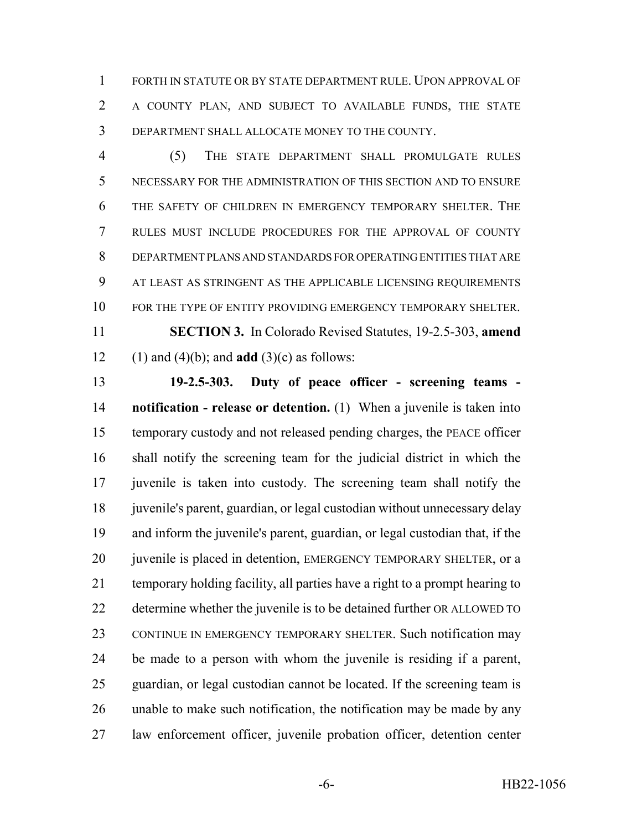FORTH IN STATUTE OR BY STATE DEPARTMENT RULE. UPON APPROVAL OF A COUNTY PLAN, AND SUBJECT TO AVAILABLE FUNDS, THE STATE DEPARTMENT SHALL ALLOCATE MONEY TO THE COUNTY.

 (5) THE STATE DEPARTMENT SHALL PROMULGATE RULES NECESSARY FOR THE ADMINISTRATION OF THIS SECTION AND TO ENSURE THE SAFETY OF CHILDREN IN EMERGENCY TEMPORARY SHELTER. THE RULES MUST INCLUDE PROCEDURES FOR THE APPROVAL OF COUNTY DEPARTMENT PLANS AND STANDARDS FOR OPERATING ENTITIES THAT ARE AT LEAST AS STRINGENT AS THE APPLICABLE LICENSING REQUIREMENTS 10 FOR THE TYPE OF ENTITY PROVIDING EMERGENCY TEMPORARY SHELTER. **SECTION 3.** In Colorado Revised Statutes, 19-2.5-303, **amend** (1) and (4)(b); and **add** (3)(c) as follows:

 **19-2.5-303. Duty of peace officer - screening teams - notification - release or detention.** (1) When a juvenile is taken into temporary custody and not released pending charges, the PEACE officer shall notify the screening team for the judicial district in which the juvenile is taken into custody. The screening team shall notify the 18 juvenile's parent, guardian, or legal custodian without unnecessary delay and inform the juvenile's parent, guardian, or legal custodian that, if the 20 juvenile is placed in detention, EMERGENCY TEMPORARY SHELTER, or a temporary holding facility, all parties have a right to a prompt hearing to determine whether the juvenile is to be detained further OR ALLOWED TO 23 CONTINUE IN EMERGENCY TEMPORARY SHELTER. Such notification may be made to a person with whom the juvenile is residing if a parent, guardian, or legal custodian cannot be located. If the screening team is unable to make such notification, the notification may be made by any law enforcement officer, juvenile probation officer, detention center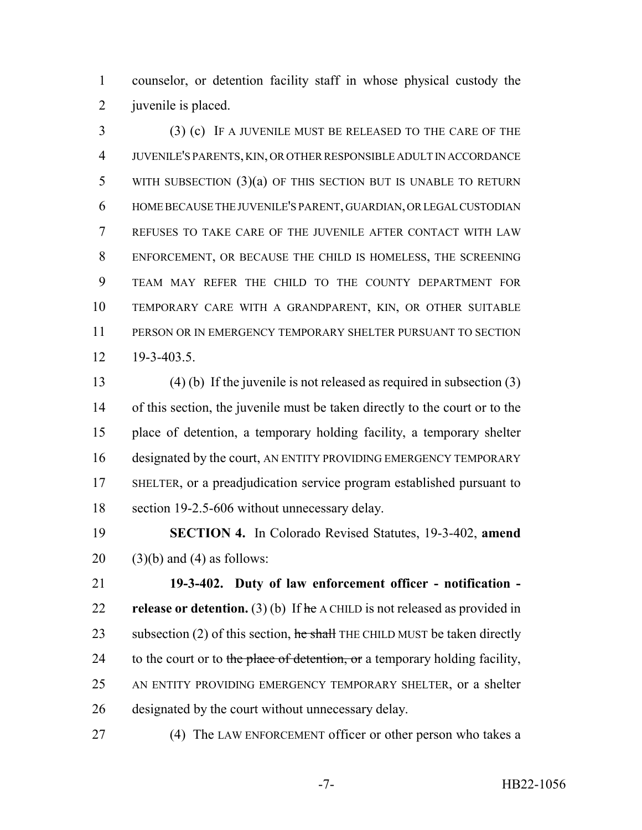counselor, or detention facility staff in whose physical custody the juvenile is placed.

 (3) (c) IF A JUVENILE MUST BE RELEASED TO THE CARE OF THE JUVENILE'S PARENTS, KIN, OR OTHER RESPONSIBLE ADULT IN ACCORDANCE 5 WITH SUBSECTION (3)(a) OF THIS SECTION BUT IS UNABLE TO RETURN HOME BECAUSE THE JUVENILE'S PARENT, GUARDIAN, OR LEGAL CUSTODIAN REFUSES TO TAKE CARE OF THE JUVENILE AFTER CONTACT WITH LAW ENFORCEMENT, OR BECAUSE THE CHILD IS HOMELESS, THE SCREENING TEAM MAY REFER THE CHILD TO THE COUNTY DEPARTMENT FOR TEMPORARY CARE WITH A GRANDPARENT, KIN, OR OTHER SUITABLE PERSON OR IN EMERGENCY TEMPORARY SHELTER PURSUANT TO SECTION 19-3-403.5.

 (4) (b) If the juvenile is not released as required in subsection (3) of this section, the juvenile must be taken directly to the court or to the place of detention, a temporary holding facility, a temporary shelter designated by the court, AN ENTITY PROVIDING EMERGENCY TEMPORARY SHELTER, or a preadjudication service program established pursuant to section 19-2.5-606 without unnecessary delay.

 **SECTION 4.** In Colorado Revised Statutes, 19-3-402, **amend** 20  $(3)(b)$  and  $(4)$  as follows:

 **19-3-402. Duty of law enforcement officer - notification - release or detention.** (3) (b) If he A CHILD is not released as provided in 23 subsection (2) of this section,  $\frac{1}{2}$  he shall THE CHILD MUST be taken directly 24 to the court or to the place of detention, or a temporary holding facility, AN ENTITY PROVIDING EMERGENCY TEMPORARY SHELTER, or a shelter designated by the court without unnecessary delay.

27 (4) The LAW ENFORCEMENT officer or other person who takes a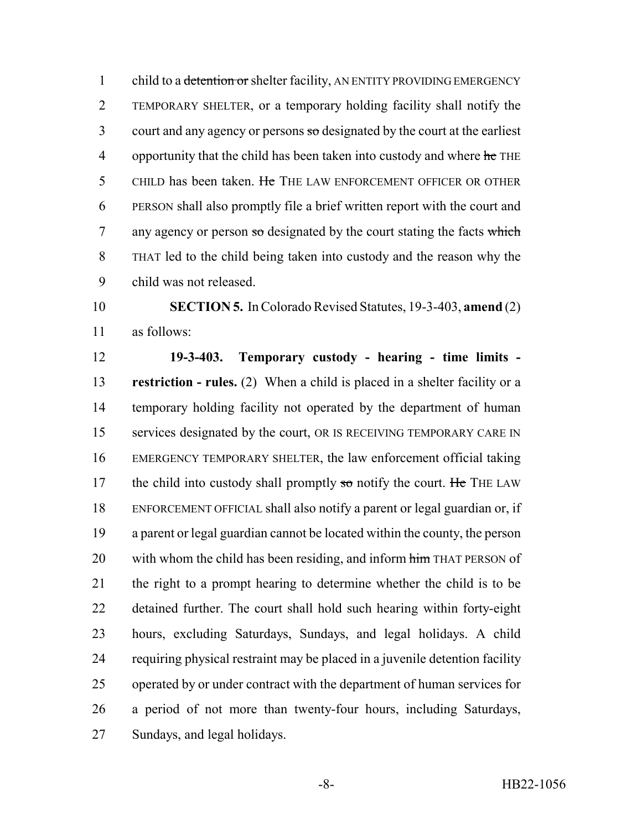1 child to a detention or shelter facility, AN ENTITY PROVIDING EMERGENCY TEMPORARY SHELTER, or a temporary holding facility shall notify the court and any agency or persons  $\frac{1}{3}$  designated by the court at the earliest 4 opportunity that the child has been taken into custody and where he THE 5 CHILD has been taken. He THE LAW ENFORCEMENT OFFICER OR OTHER PERSON shall also promptly file a brief written report with the court and 7 any agency or person so designated by the court stating the facts which THAT led to the child being taken into custody and the reason why the child was not released.

 **SECTION 5.** In Colorado Revised Statutes, 19-3-403, **amend** (2) as follows:

 **19-3-403. Temporary custody - hearing - time limits - restriction - rules.** (2) When a child is placed in a shelter facility or a temporary holding facility not operated by the department of human services designated by the court, OR IS RECEIVING TEMPORARY CARE IN EMERGENCY TEMPORARY SHELTER, the law enforcement official taking 17 the child into custody shall promptly so notify the court. He THE LAW ENFORCEMENT OFFICIAL shall also notify a parent or legal guardian or, if a parent or legal guardian cannot be located within the county, the person 20 with whom the child has been residing, and inform him THAT PERSON of the right to a prompt hearing to determine whether the child is to be detained further. The court shall hold such hearing within forty-eight hours, excluding Saturdays, Sundays, and legal holidays. A child requiring physical restraint may be placed in a juvenile detention facility operated by or under contract with the department of human services for a period of not more than twenty-four hours, including Saturdays, Sundays, and legal holidays.